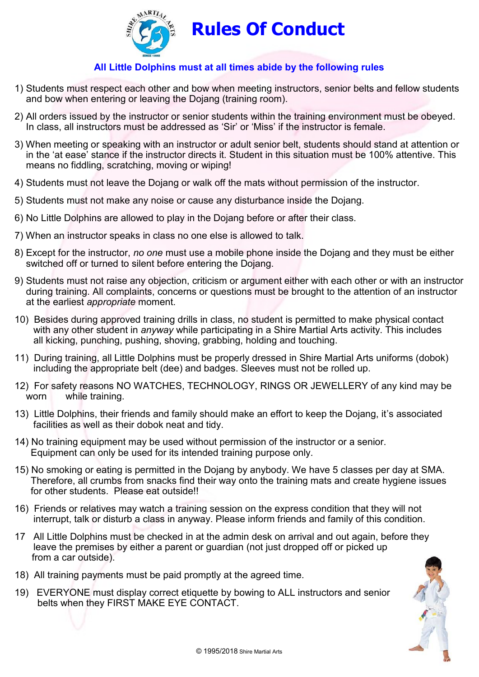

## **All Little Dolphins must at all times abide by the following rules**

- 1) Students must respect each other and bow when meeting instructors, senior belts and fellow students and bow when entering or leaving the Dojang (training room).
- 2) All orders issued by the instructor or senior students within the training environment must be obeyed. In class, all instructors must be addressed as 'Sir' or 'Miss' if the instructor is female.
- 3) When meeting or speaking with an instructor or adult senior belt, students should stand at attention or in the 'at ease' stance if the instructor directs it. Student in this situation must be 100% attentive. This means no fiddling, scratching, moving or wiping!
- 4) Students must not leave the Dojang or walk off the mats without permission of the instructor.
- 5) Students must not make any noise or cause any disturbance inside the Dojang.
- 6) No Little Dolphins are allowed to play in the Dojang before or after their class.
- 7) When an instructor speaks in class no one else is allowed to talk.
- 8) Except for the instructor, *no one* must use a mobile phone inside the Dojang and they must be either switched off or turned to silent before entering the Dojang.
- 9) Students must not raise any objection, criticism or argument either with each other or with an instructor during training. All complaints, concerns or questions must be brought to the attention of an instructor at the earliest *appropriate* moment.
- 10) Besides during approved training drills in class, no student is permitted to make physical contact with any other student in *anyway* while participating in a Shire Martial Arts activity. This includes all kicking, punching, pushing, shoving, grabbing, holding and touching.
- 11) During training, all Little Dolphins must be properly dressed in Shire Martial Arts uniforms (dobok) including the appropriate belt (dee) and badges. Sleeves must not be rolled up.
- 12) For safety reasons NO WATCHES, TECHNOLOGY, RINGS OR JEWELLERY of any kind may be worn while training.
- 13) Little Dolphins, their friends and family should make an effort to keep the Dojang, it's associated facilities as well as their dobok neat and tidy.
- 14) No training equipment may be used without permission of the instructor or a senior. Equipment can only be used for its intended training purpose only.
- 15) No smoking or eating is permitted in the Dojang by anybody. We have 5 classes per day at SMA. Therefore, all crumbs from snacks find their way onto the training mats and create hygiene issues for other students. Please eat outside!!
- 16) Friends or relatives may watch a training session on the express condition that they will not interrupt, talk or disturb a class in anyway. Please inform friends and family of this condition.
- 17 All Little Dolphins must be checked in at the admin desk on arrival and out again, before they leave the premises by either a parent or guardian (not just dropped off or picked up from a car outside).
- 18) All training payments must be paid promptly at the agreed time.
- 19) EVERYONE must display correct etiquette by bowing to ALL instructors and senior belts when they FIRST MAKE EYE CONTACT.